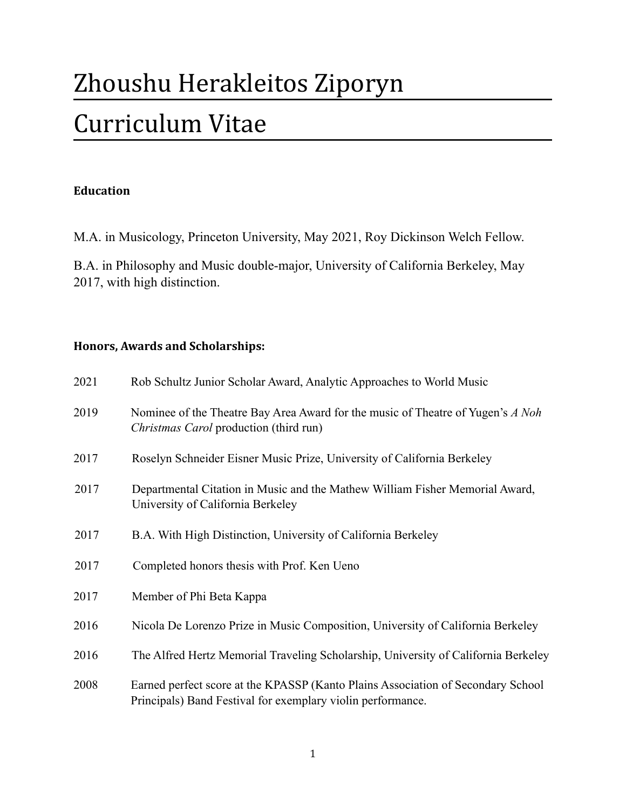# Zhoushu Herakleitos Ziporyn Curriculum Vitae

## **Education**

M.A. in Musicology, Princeton University, May 2021, Roy Dickinson Welch Fellow.

B.A. in Philosophy and Music double-major, University of California Berkeley, May 2017, with high distinction.

## **Honors, Awards and Scholarships:**

| 2021 | Rob Schultz Junior Scholar Award, Analytic Approaches to World Music                                                                            |
|------|-------------------------------------------------------------------------------------------------------------------------------------------------|
| 2019 | Nominee of the Theatre Bay Area Award for the music of Theatre of Yugen's A Noh<br>Christmas Carol production (third run)                       |
| 2017 | Roselyn Schneider Eisner Music Prize, University of California Berkeley                                                                         |
| 2017 | Departmental Citation in Music and the Mathew William Fisher Memorial Award,<br>University of California Berkeley                               |
| 2017 | B.A. With High Distinction, University of California Berkeley                                                                                   |
| 2017 | Completed honors thesis with Prof. Ken Ueno                                                                                                     |
| 2017 | Member of Phi Beta Kappa                                                                                                                        |
| 2016 | Nicola De Lorenzo Prize in Music Composition, University of California Berkeley                                                                 |
| 2016 | The Alfred Hertz Memorial Traveling Scholarship, University of California Berkeley                                                              |
| 2008 | Earned perfect score at the KPASSP (Kanto Plains Association of Secondary School<br>Principals) Band Festival for exemplary violin performance. |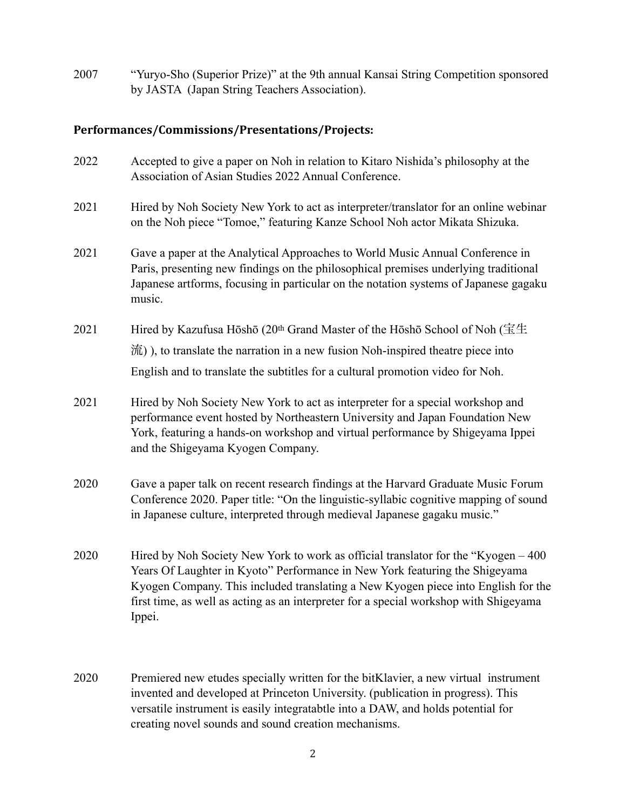2007 "Yuryo-Sho (Superior Prize)" at the 9th annual Kansai String Competition sponsored by JASTA (Japan String Teachers Association).

#### **Performances/Commissions/Presentations/Projects:**

- 2022 Accepted to give a paper on Noh in relation to Kitaro Nishida's philosophy at the Association of Asian Studies 2022 Annual Conference.
- 2021 Hired by Noh Society New York to act as interpreter/translator for an online webinar on the Noh piece "Tomoe," featuring Kanze School Noh actor Mikata Shizuka.
- 2021 Gave a paper at the Analytical Approaches to World Music Annual Conference in Paris, presenting new findings on the philosophical premises underlying traditional Japanese artforms, focusing in particular on the notation systems of Japanese gagaku music.
- 2021 Hired by Kazufusa Hōshō (20<sup>th</sup> Grand Master of the Hōshō School of Noh (宝生 流) ), to translate the narration in a new fusion Noh-inspired theatre piece into English and to translate the subtitles for a cultural promotion video for Noh.
- 2021 Hired by Noh Society New York to act as interpreter for a special workshop and performance event hosted by Northeastern University and Japan Foundation New York, featuring a hands-on workshop and virtual performance by Shigeyama Ippei and the Shigeyama Kyogen Company.
- 2020 Gave a paper talk on recent research findings at the Harvard Graduate Music Forum Conference 2020. Paper title: "On the linguistic-syllabic cognitive mapping of sound in Japanese culture, interpreted through medieval Japanese gagaku music."
- 2020 Hired by Noh Society New York to work as official translator for the "Kyogen 400 Years Of Laughter in Kyoto" Performance in New York featuring the Shigeyama Kyogen Company. This included translating a New Kyogen piece into English for the first time, as well as acting as an interpreter for a special workshop with Shigeyama Ippei.
- 2020 Premiered new etudes specially written for the bitKlavier, a new virtual instrument invented and developed at Princeton University. (publication in progress). This versatile instrument is easily integratabtle into a DAW, and holds potential for creating novel sounds and sound creation mechanisms.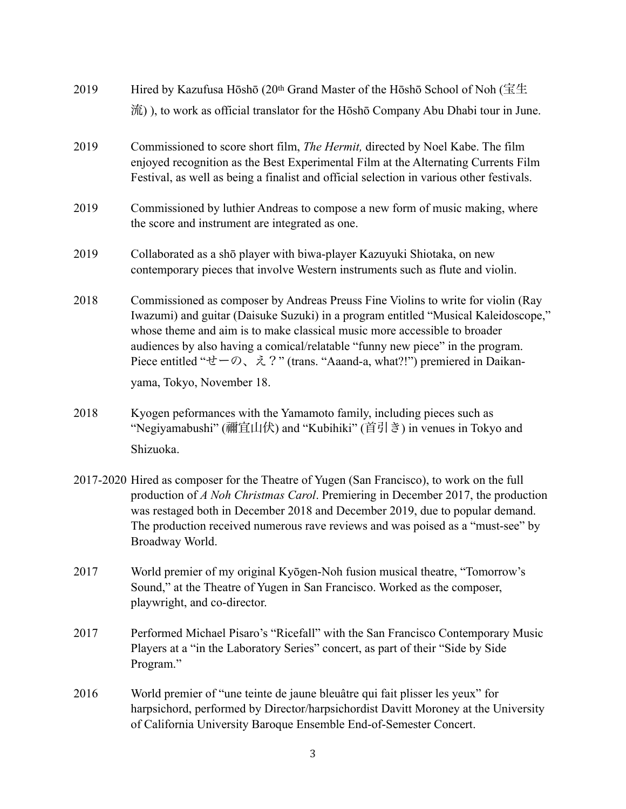| 2019 | Hired by Kazufusa Hōshō (20 <sup>th</sup> Grand Master of the Hōshō School of Noh ( $\pm \pm$ )                                                                                                                                                                                                                                                                                                                                                                               |
|------|-------------------------------------------------------------------------------------------------------------------------------------------------------------------------------------------------------------------------------------------------------------------------------------------------------------------------------------------------------------------------------------------------------------------------------------------------------------------------------|
|      | 流)), to work as official translator for the Hōshō Company Abu Dhabi tour in June.                                                                                                                                                                                                                                                                                                                                                                                             |
| 2019 | Commissioned to score short film, <i>The Hermit</i> , directed by Noel Kabe. The film<br>enjoyed recognition as the Best Experimental Film at the Alternating Currents Film<br>Festival, as well as being a finalist and official selection in various other festivals.                                                                                                                                                                                                       |
| 2019 | Commissioned by luthier Andreas to compose a new form of music making, where<br>the score and instrument are integrated as one.                                                                                                                                                                                                                                                                                                                                               |
| 2019 | Collaborated as a shō player with biwa-player Kazuyuki Shiotaka, on new<br>contemporary pieces that involve Western instruments such as flute and violin.                                                                                                                                                                                                                                                                                                                     |
| 2018 | Commissioned as composer by Andreas Preuss Fine Violins to write for violin (Ray<br>Iwazumi) and guitar (Daisuke Suzuki) in a program entitled "Musical Kaleidoscope,"<br>whose theme and aim is to make classical music more accessible to broader<br>audiences by also having a comical/relatable "funny new piece" in the program.<br>Piece entitled " $\forall t$ - $\oslash$ , $\lambda$ ?" (trans. "Aaand-a, what?!") premiered in Daikan-<br>yama, Tokyo, November 18. |
| 2018 | Kyogen peformances with the Yamamoto family, including pieces such as<br>"Negiyamabushi" (禰宜山伏) and "Kubihiki" (首引き) in venues in Tokyo and<br>Shizuoka.                                                                                                                                                                                                                                                                                                                      |
|      | 2017-2020 Hired as composer for the Theatre of Yugen (San Francisco), to work on the full<br>production of A Noh Christmas Carol. Premiering in December 2017, the production<br>was restaged both in December 2018 and December 2019, due to popular demand.<br>The production received numerous rave reviews and was poised as a "must-see" by<br>Broadway World.                                                                                                           |
| 2017 | World premier of my original Kyōgen-Noh fusion musical theatre, "Tomorrow's<br>Sound," at the Theatre of Yugen in San Francisco. Worked as the composer,<br>playwright, and co-director.                                                                                                                                                                                                                                                                                      |

- 2017 Performed Michael Pisaro's "Ricefall" with the San Francisco Contemporary Music Players at a "in the Laboratory Series" concert, as part of their "Side by Side Program."
- 2016 World premier of "une teinte de jaune bleuâtre qui fait plisser les yeux" for harpsichord, performed by Director/harpsichordist Davitt Moroney at the University of California University Baroque Ensemble End-of-Semester Concert.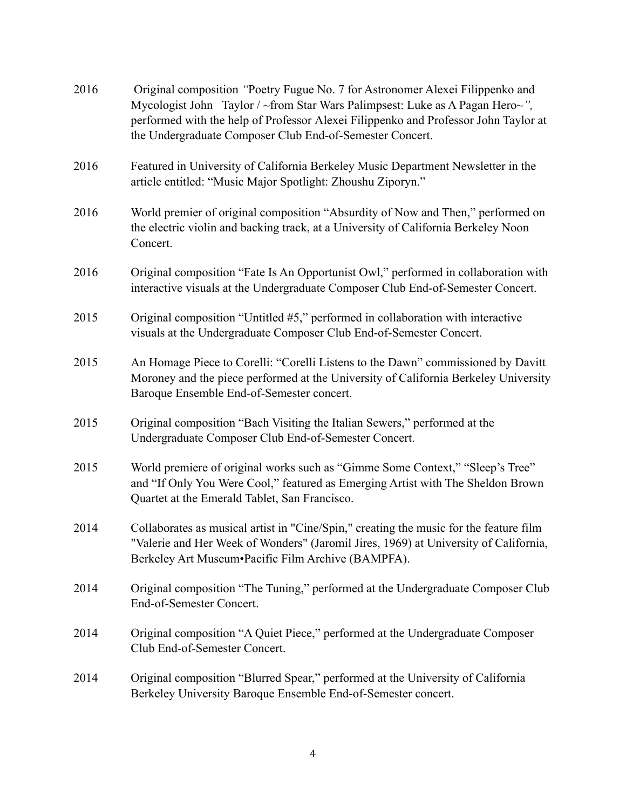| 2016 | Original composition "Poetry Fugue No. 7 for Astronomer Alexei Filippenko and<br>Mycologist John Taylor / ~from Star Wars Palimpsest: Luke as A Pagan Hero~",<br>performed with the help of Professor Alexei Filippenko and Professor John Taylor at<br>the Undergraduate Composer Club End-of-Semester Concert. |
|------|------------------------------------------------------------------------------------------------------------------------------------------------------------------------------------------------------------------------------------------------------------------------------------------------------------------|
| 2016 | Featured in University of California Berkeley Music Department Newsletter in the<br>article entitled: "Music Major Spotlight: Zhoushu Ziporyn."                                                                                                                                                                  |
| 2016 | World premier of original composition "Absurdity of Now and Then," performed on<br>the electric violin and backing track, at a University of California Berkeley Noon<br>Concert.                                                                                                                                |
| 2016 | Original composition "Fate Is An Opportunist Owl," performed in collaboration with<br>interactive visuals at the Undergraduate Composer Club End-of-Semester Concert.                                                                                                                                            |
| 2015 | Original composition "Untitled #5," performed in collaboration with interactive<br>visuals at the Undergraduate Composer Club End-of-Semester Concert.                                                                                                                                                           |
| 2015 | An Homage Piece to Corelli: "Corelli Listens to the Dawn" commissioned by Davitt<br>Moroney and the piece performed at the University of California Berkeley University<br>Baroque Ensemble End-of-Semester concert.                                                                                             |
| 2015 | Original composition "Bach Visiting the Italian Sewers," performed at the<br>Undergraduate Composer Club End-of-Semester Concert.                                                                                                                                                                                |
| 2015 | World premiere of original works such as "Gimme Some Context," "Sleep's Tree"<br>and "If Only You Were Cool," featured as Emerging Artist with The Sheldon Brown<br>Quartet at the Emerald Tablet, San Francisco.                                                                                                |
| 2014 | Collaborates as musical artist in "Cine/Spin," creating the music for the feature film<br>"Valerie and Her Week of Wonders" (Jaromil Jires, 1969) at University of California,<br>Berkeley Art Museum•Pacific Film Archive (BAMPFA).                                                                             |
| 2014 | Original composition "The Tuning," performed at the Undergraduate Composer Club<br>End-of-Semester Concert.                                                                                                                                                                                                      |
| 2014 | Original composition "A Quiet Piece," performed at the Undergraduate Composer<br>Club End-of-Semester Concert.                                                                                                                                                                                                   |
| 2014 | Original composition "Blurred Spear," performed at the University of California<br>Berkeley University Baroque Ensemble End-of-Semester concert.                                                                                                                                                                 |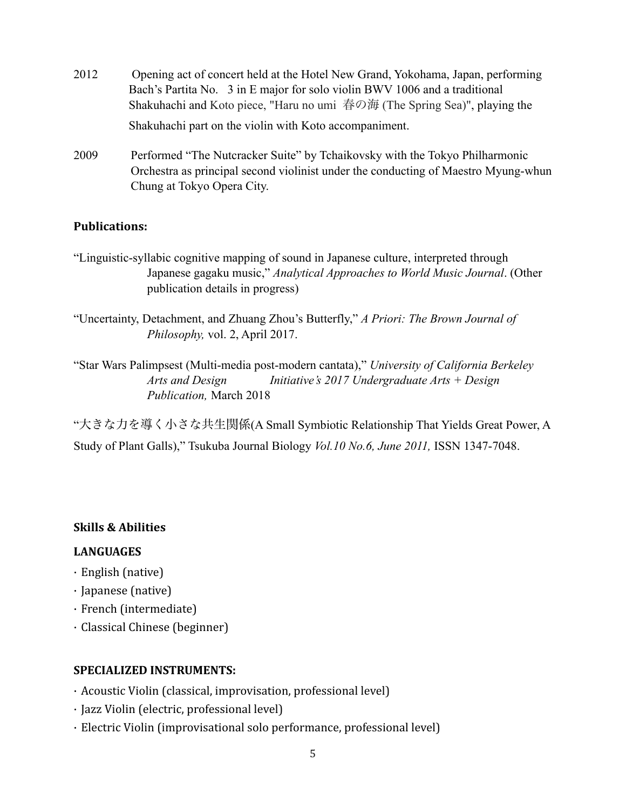- 2012 Opening act of concert held at the Hotel New Grand, Yokohama, Japan, performing Bach's Partita No. 3 in E major for solo violin BWV 1006 and a traditional Shakuhachi and Koto piece, "Haru no umi 春の海 (The Spring Sea)", playing the Shakuhachi part on the violin with Koto accompaniment.
- 2009 Performed "The Nutcracker Suite" by Tchaikovsky with the Tokyo Philharmonic Orchestra as principal second violinist under the conducting of Maestro Myung-whun Chung at Tokyo Opera City.

## **Publications:**

- "Linguistic-syllabic cognitive mapping of sound in Japanese culture, interpreted through Japanese gagaku music," *Analytical Approaches to World Music Journal*. (Other publication details in progress)
- "Uncertainty, Detachment, and Zhuang Zhou's Butterfly," *A Priori: The Brown Journal of Philosophy,* vol. 2, April 2017.

"Star Wars Palimpsest (Multi-media post-modern cantata)," *University of California Berkeley Arts and Design Initiative's 2017 Undergraduate Arts + Design Publication,* March 2018

"大きな力を導く小さな共生関係(A Small Symbiotic Relationship That Yields Great Power, A Study of Plant Galls)," Tsukuba Journal Biology *Vol.10 No.6, June 2011,* ISSN 1347-7048.

## **Skills & Abilities**

#### **LANGUAGES**

- $\cdot$  English (native)
- · Japanese (native)
- $\cdot$  French (intermediate)
- · Classical Chinese (beginner)

## **SPECIALIZED INSTRUMENTS:**

- $\cdot$  Acoustic Violin (classical, improvisation, professional level)
- · Jazz Violin (electric, professional level)
- $\cdot$  Electric Violin (improvisational solo performance, professional level)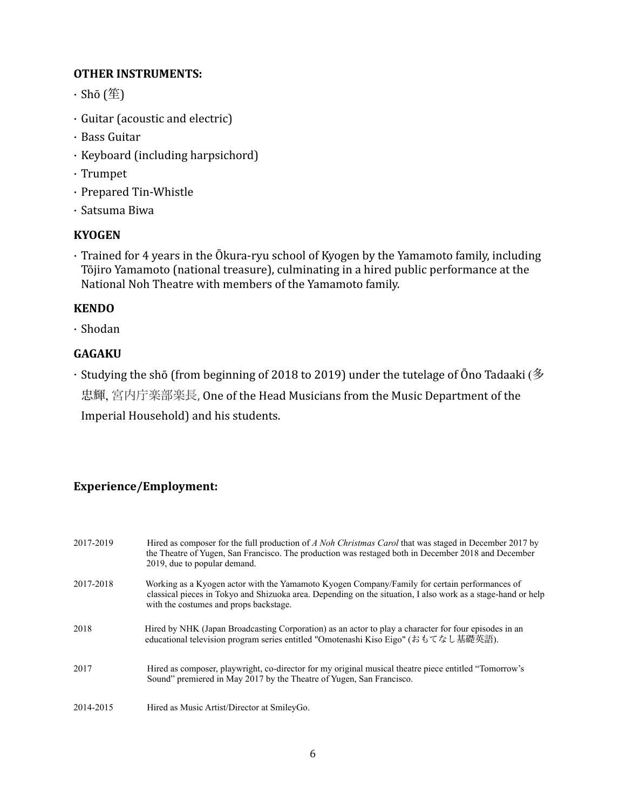#### **OTHER INSTRUMENTS:**

- $\cdot$  Shō (笙)
- $\cdot$  Guitar (acoustic and electric)
- · Bass Guitar
- $\cdot$  Keyboard (including harpsichord)
- · Trumpet
- · Prepared Tin-Whistle
- · Satsuma Biwa

## **KYOGEN**

 $\cdot$  Trained for 4 years in the Ōkura-ryu school of Kyogen by the Yamamoto family, including Tōjiro Yamamoto (national treasure), culminating in a hired public performance at the National Noh Theatre with members of the Yamamoto family.

## **KENDO**

· Shodan

## **GAGAKU**

 $\cdot$  Studying the shō (from beginning of 2018 to 2019) under the tutelage of Ōno Tadaaki ( $\frac{2}{3}$ 忠輝, 宮内庁楽部楽長, One of the Head Musicians from the Music Department of the Imperial Household) and his students.

## **Experience/Employment:**

| 2017-2019 | Hired as composer for the full production of A Noh Christmas Carol that was staged in December 2017 by<br>the Theatre of Yugen, San Francisco. The production was restaged both in December 2018 and December<br>2019, due to popular demand.           |
|-----------|---------------------------------------------------------------------------------------------------------------------------------------------------------------------------------------------------------------------------------------------------------|
| 2017-2018 | Working as a Kyogen actor with the Yamamoto Kyogen Company/Family for certain performances of<br>classical pieces in Tokyo and Shizuoka area. Depending on the situation, I also work as a stage-hand or help<br>with the costumes and props backstage. |
| 2018      | Hired by NHK (Japan Broadcasting Corporation) as an actor to play a character for four episodes in an<br>educational television program series entitled "Omotenashi Kiso Eigo" (おもてなし基礎英語).                                                             |
| 2017      | Hired as composer, playwright, co-director for my original musical theatre piece entitled "Tomorrow's<br>Sound" premiered in May 2017 by the Theatre of Yugen, San Francisco.                                                                           |
| 2014-2015 | Hired as Music Artist/Director at SmileyGo.                                                                                                                                                                                                             |